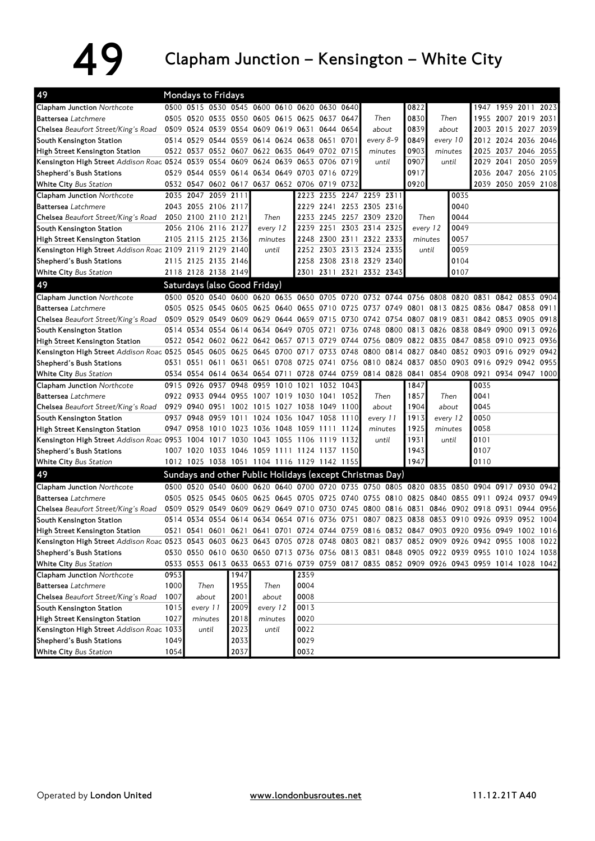## 49 Clapham Junction – Kensington – White City

| 49                                                                                                                            |      | <b>Mondays to Fridays</b> |       |      |                                              |      |                                              |           |                                                                                           |       |          |          |      |                     |           |      |
|-------------------------------------------------------------------------------------------------------------------------------|------|---------------------------|-------|------|----------------------------------------------|------|----------------------------------------------|-----------|-------------------------------------------------------------------------------------------|-------|----------|----------|------|---------------------|-----------|------|
| Clapham Junction Northcote                                                                                                    |      |                           |       |      |                                              |      | 0500 0515 0530 0545 0600 0610 0620 0630 0640 |           |                                                                                           | 0822  |          |          |      | 1947 1959 2011 2023 |           |      |
| <b>Battersea</b> Latchmere                                                                                                    |      |                           |       |      |                                              |      | 0505 0520 0535 0550 0605 0615 0625 0637 0647 |           | Then                                                                                      | 0830  |          | Then     |      | 1955 2007 2019 2031 |           |      |
| Chelsea Beaufort Street/King's Road                                                                                           |      |                           |       |      |                                              |      | 0509 0524 0539 0554 0609 0619 0631 0644 0654 |           | about                                                                                     | 0839  |          | about    |      | 2003 2015 2027 2039 |           |      |
| South Kensington Station                                                                                                      |      |                           |       |      |                                              |      | 0514 0529 0544 0559 0614 0624 0638 0651 0701 |           | every 8-9                                                                                 | 0849  | every 10 |          |      | 2012 2024 2036 2046 |           |      |
| High Street Kensington Station                                                                                                |      |                           |       |      |                                              |      | 0522 0537 0552 0607 0622 0635 0649 0702 0715 |           | minutes                                                                                   | 0903  | minutes  |          |      | 2025 2037 2046 2055 |           |      |
| Kensington High Street Addison Roac 0524 0539 0554 0609 0624 0639 0653 0706 0719                                              |      |                           |       |      |                                              |      |                                              |           | until                                                                                     | 0907  |          | until    |      | 2029 2041 2050 2059 |           |      |
| Shepherd's Bush Stations                                                                                                      |      |                           |       |      |                                              |      | 0529 0544 0559 0614 0634 0649 0703 0716 0729 |           |                                                                                           | 0917  |          |          |      | 2036 2047 2056 2105 |           |      |
| White City Bus Station                                                                                                        |      |                           |       |      | 0532 0547 0602 0617 0637 0652 0706 0719 0732 |      |                                              |           |                                                                                           | 0920  |          |          |      | 2039 2050 2059 2108 |           |      |
| <b>Clapham Junction Northcote</b>                                                                                             |      | 2035 2047 2059 2111       |       |      |                                              |      |                                              |           | 2223 2235 2247 2259 2311                                                                  |       |          | 0035     |      |                     |           |      |
| <b>Battersea</b> Latchmere                                                                                                    |      | 2043 2055 2106 2117       |       |      |                                              |      |                                              |           | 2229 2241 2253 2305 2316                                                                  |       |          | 0040     |      |                     |           |      |
| Chelsea Beaufort Street/King's Road                                                                                           |      | 2050 2100 2110 2121       |       |      |                                              | Then |                                              |           | 2233 2245 2257 2309 2320                                                                  |       | Then     | 0044     |      |                     |           |      |
| South Kensington Station                                                                                                      |      | 2056 2106 2116 2127       |       |      | every 12                                     |      |                                              |           | 2239 2251 2303 2314 2325                                                                  |       | every 12 | 0049     |      |                     |           |      |
| High Street Kensington Station                                                                                                |      | 2105 2115 2125 2136       |       |      | minutes                                      |      |                                              |           | 2248 2300 2311 2322 2333                                                                  |       | minutes  | 0057     |      |                     |           |      |
| Kensington High Street Addison Roac 2109 2119 2129 2140                                                                       |      |                           |       |      | until                                        |      |                                              |           | 2252 2303 2313 2324 2335                                                                  | until |          | 0059     |      |                     |           |      |
| Shepherd's Bush Stations                                                                                                      |      | 2115 2125 2135 2146       |       |      |                                              |      |                                              |           | 2258 2308 2318 2329 2340                                                                  |       |          | 0104     |      |                     |           |      |
| White City Bus Station                                                                                                        |      | 2118 2128 2138 2149       |       |      |                                              |      |                                              |           | 2301 2311 2321 2332 2343                                                                  |       |          | 0107     |      |                     |           |      |
| 49                                                                                                                            |      |                           |       |      | Saturdays (also Good Friday)                 |      |                                              |           |                                                                                           |       |          |          |      |                     |           |      |
| Clapham Junction Northcote                                                                                                    |      |                           |       |      |                                              |      |                                              |           | 0500 0520 0540 0600 0620 0635 0650 0705 0720 0732 0744 0756 0808 0820 0831 0842 0853 0904 |       |          |          |      |                     |           |      |
| <b>Battersea</b> Latchmere                                                                                                    |      |                           |       |      |                                              |      |                                              |           | 0505 0525 0545 0605 0625 0640 0655 0710 0725 0737 0749 0801 0813 0825 0836 0847 0858 0911 |       |          |          |      |                     |           |      |
| Chelsea Beaufort Street/King's Road                                                                                           |      |                           |       |      |                                              |      |                                              |           | 0509 0529 0549 0609 0629 0644 0659 0715 0730 0742 0754 0807 0819 0831                     |       |          |          |      | 0842 0853 0905 0918 |           |      |
| South Kensington Station                                                                                                      |      |                           |       |      |                                              |      |                                              |           | 0514 0534 0554 0614 0634 0649 0705 0721 0736 0748 0800 0813 0826 0838 0849 0900 0913 0926 |       |          |          |      |                     |           |      |
| High Street Kensington Station                                                                                                |      |                           |       |      |                                              |      |                                              |           | 0522 0542 0602 0622 0642 0657 0713 0729 0744 0756 0809 0822 0835 0847 0858 0910 0923 0936 |       |          |          |      |                     |           |      |
| Kensington High Street Addison Roac 0525 0545 0605 0625 0645 0700 0717 0733 0748 0800 0814 0827 0840 0852 0903 0916           |      |                           |       |      |                                              |      |                                              |           |                                                                                           |       |          |          |      |                     | 0929      | 0942 |
| Shepherd's Bush Stations                                                                                                      |      |                           |       |      |                                              |      |                                              |           | 0531 0551 0611 0631 0651 0708 0725 0741 0756 0810 0824 0837 0850 0903 0916 0929           |       |          |          |      |                     | 0942 0955 |      |
| White City Bus Station                                                                                                        |      |                           |       |      |                                              |      |                                              |           | 0534 0554 0614 0634 0654 0711 0728 0744 0759 0814 0828 0841 0854 0908 0921 0934 0947 1000 |       |          |          |      |                     |           |      |
| Clapham Junction Northcote                                                                                                    |      | 0915 0926                 | 0937  |      | 0948 0959 1010 1021                          |      |                                              | 1032 1043 |                                                                                           | 1847  |          |          | 0035 |                     |           |      |
| <b>Battersea</b> Latchmere                                                                                                    |      |                           |       |      |                                              |      | 0922 0933 0944 0955 1007 1019 1030 1041 1052 |           | Then                                                                                      | 1857  |          | Then     | 0041 |                     |           |      |
| Chelsea Beaufort Street/King's Road                                                                                           |      |                           |       |      |                                              |      | 0929 0940 0951 1002 1015 1027 1038 1049 1100 |           | about                                                                                     | 1904  |          | about    | 0045 |                     |           |      |
| South Kensington Station                                                                                                      |      | 0937 0948 0959 1011       |       |      |                                              |      | 1024 1036 1047 1058 1110                     |           | every 11                                                                                  | 1913  |          | every 12 | 0050 |                     |           |      |
| High Street Kensington Station                                                                                                |      |                           |       |      |                                              |      | 0947 0958 1010 1023 1036 1048 1059 1111 1124 |           | minutes                                                                                   | 1925  | minutes  |          | 0058 |                     |           |      |
| Kensington High Street Addison Roac 0953 1004 1017 1030 1043 1055 1106 1119 1132                                              |      |                           |       |      |                                              |      |                                              |           | until                                                                                     | 1931  |          | until    | 0101 |                     |           |      |
| Shepherd's Bush Stations                                                                                                      |      |                           |       |      |                                              |      | 1007 1020 1033 1046 1059 1111 1124 1137 1150 |           |                                                                                           | 1943  |          |          | 0107 |                     |           |      |
| White City Bus Station                                                                                                        |      |                           |       |      |                                              |      | 1012 1025 1038 1051 1104 1116 1129 1142 1155 |           |                                                                                           | 1947  |          |          | 0110 |                     |           |      |
| 49                                                                                                                            |      |                           |       |      |                                              |      |                                              |           | Sundays and other Public Holidays (except Christmas Day)                                  |       |          |          |      |                     |           |      |
| <b>Clapham Junction Northcote</b>                                                                                             |      |                           |       |      |                                              |      |                                              |           | 0500 0520 0540 0600 0620 0640 0700 0720 0735 0750 0805 0820 0835 0850 0904 0917 0930 0942 |       |          |          |      |                     |           |      |
| <b>Battersea</b> Latchmere                                                                                                    |      |                           |       |      |                                              |      |                                              |           | 0505 0525 0545 0605 0625 0645 0705 0725 0740 0755 0810 0825 0840 0855 0911 0924 0937 0949 |       |          |          |      |                     |           |      |
| Chelsea Beaufort Street/King's Road                                                                                           |      |                           |       |      |                                              |      |                                              |           | 0509 0529 0549 0609 0629 0649 0710 0730 0745 0800 0816 0831 0846 0902 0918 0931 0944 0956 |       |          |          |      |                     |           |      |
| South Kensington Station                                                                                                      |      |                           |       |      |                                              |      |                                              |           | 0514 0534 0554 0614 0634 0654 0716 0736 0751 0807 0823 0838 0853 0910 0926 0939 0952 1004 |       |          |          |      |                     |           |      |
| High Street Kensington Station                                                                                                |      |                           |       |      |                                              |      |                                              |           | 0521 0541 0601 0621 0641 0701 0724 0744 0759 0816 0832 0847 0903 0920 0936 0949 1002 1016 |       |          |          |      |                     |           |      |
| Kensington High Street Addison Roac 0523 0543 0603 0623 0643 0705 0728 0748 0803 0821 0837 0852 0909 0926 0942 0955 1008 1022 |      |                           |       |      |                                              |      |                                              |           |                                                                                           |       |          |          |      |                     |           |      |
| Shepherd's Bush Stations                                                                                                      |      |                           |       |      |                                              |      |                                              |           | 0530 0550 0610 0630 0650 0713 0736 0756 0813 0831 0848 0905 0922 0939 0955 1010 1024 1038 |       |          |          |      |                     |           |      |
| <b>White City Bus Station</b>                                                                                                 |      |                           |       |      |                                              |      |                                              |           | 0533 0553 0613 0633 0653 0716 0739 0759 0817 0835 0852 0909 0926 0943 0959 1014 1028 1042 |       |          |          |      |                     |           |      |
| Clapham Junction Northcote                                                                                                    | 0953 |                           |       | 1947 |                                              |      | 2359                                         |           |                                                                                           |       |          |          |      |                     |           |      |
| <b>Battersea</b> Latchmere                                                                                                    | 1000 |                           | Then  | 1955 |                                              | Then | 0004                                         |           |                                                                                           |       |          |          |      |                     |           |      |
| Chelsea Beaufort Street/King's Road                                                                                           | 1007 | about                     |       | 2001 | about                                        |      | 0008                                         |           |                                                                                           |       |          |          |      |                     |           |      |
| South Kensington Station                                                                                                      | 1015 | every 11                  |       | 2009 | every 12                                     |      | 0013                                         |           |                                                                                           |       |          |          |      |                     |           |      |
| High Street Kensington Station                                                                                                | 1027 | minutes                   |       | 2018 | minutes                                      |      | 0020                                         |           |                                                                                           |       |          |          |      |                     |           |      |
| Kensington High Street Addison Roac 1033                                                                                      |      |                           | until | 2023 | until                                        |      | 0022                                         |           |                                                                                           |       |          |          |      |                     |           |      |
| Shepherd's Bush Stations                                                                                                      | 1049 |                           |       | 2033 |                                              |      |                                              |           |                                                                                           |       |          |          |      |                     |           |      |
| White City Bus Station                                                                                                        | 1054 |                           |       | 2037 |                                              |      | 0032                                         |           |                                                                                           |       |          |          |      |                     |           |      |